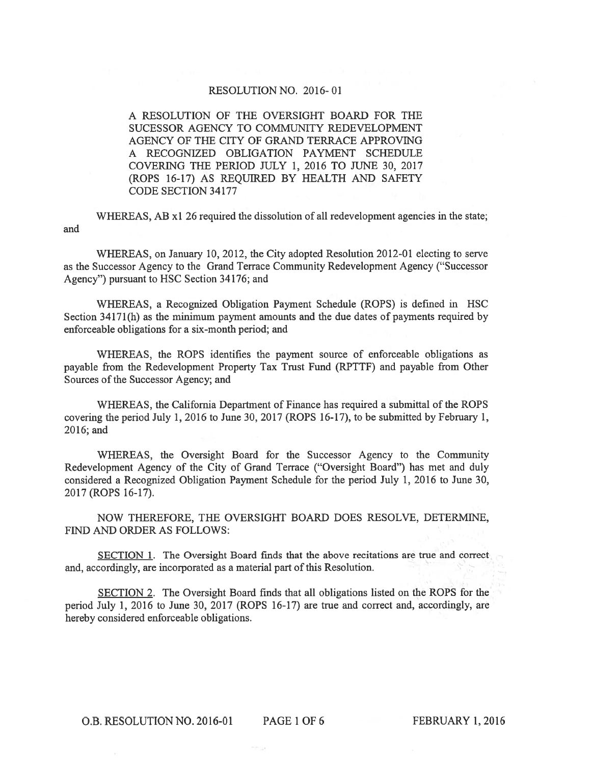## RESOLUTION NO. 2016-01

A RESOLUTION OF THE OVERSIGHT BOARD FOR THE SUCESSOR AGENCY TO COMMUNITY REDEVELOPMENT AGENCY OF THE CITY OF GRAND TERRACE APPROVING A RECOGNIZED OBLIGATION PAYMENT SCHEDULE COVERING THE PERIOD JULY 1, 2016 TO JUNE 30, 2017 (ROPS 16-17) AS REOUIRED BY HEALTH AND SAFETY **CODE SECTION 34177** 

WHEREAS, AB x1 26 required the dissolution of all redevelopment agencies in the state; and

WHEREAS, on January 10, 2012, the City adopted Resolution 2012-01 electing to serve as the Successor Agency to the Grand Terrace Community Redevelopment Agency ("Successor Agency") pursuant to HSC Section 34176; and

WHEREAS, a Recognized Obligation Payment Schedule (ROPS) is defined in HSC Section 34171(h) as the minimum payment amounts and the due dates of payments required by enforceable obligations for a six-month period; and

WHEREAS, the ROPS identifies the payment source of enforceable obligations as payable from the Redevelopment Property Tax Trust Fund (RPTTF) and payable from Other Sources of the Successor Agency; and

WHEREAS, the California Department of Finance has required a submittal of the ROPS covering the period July 1, 2016 to June 30, 2017 (ROPS 16-17), to be submitted by February 1, 2016; and

WHEREAS, the Oversight Board for the Successor Agency to the Community Redevelopment Agency of the City of Grand Terrace ("Oversight Board") has met and duly considered a Recognized Obligation Payment Schedule for the period July 1, 2016 to June 30, 2017 (ROPS 16-17).

NOW THEREFORE, THE OVERSIGHT BOARD DOES RESOLVE, DETERMINE, FIND AND ORDER AS FOLLOWS:

SECTION 1. The Oversight Board finds that the above recitations are true and correct and, accordingly, are incorporated as a material part of this Resolution.

SECTION 2. The Oversight Board finds that all obligations listed on the ROPS for the period July 1, 2016 to June 30, 2017 (ROPS 16-17) are true and correct and, accordingly, are hereby considered enforceable obligations.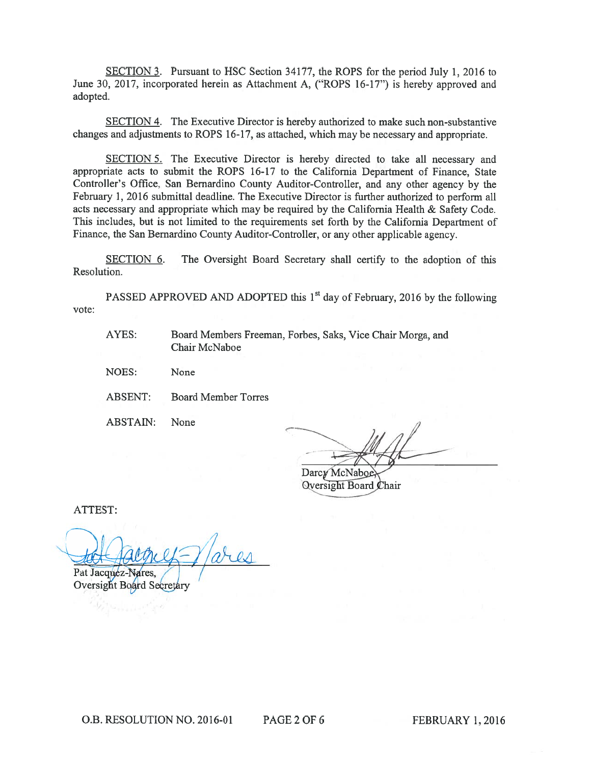SECTION 3. Pursuant to HSC Section 34177, the ROPS for the period July 1, 2016 to June 30, 2017, incorporated herein as Attachment A, ("ROPS 16-17") is hereby approved and adopted.

**SECTION 4.** The Executive Director is hereby authorized to make such non-substantive changes and adjustments to ROPS 16-17, as attached, which may be necessary and appropriate.

SECTION 5. The Executive Director is hereby directed to take all necessary and appropriate acts to submit the ROPS 16-17 to the California Department of Finance, State Controller's Office, San Bernardino County Auditor-Controller, and any other agency by the February 1, 2016 submittal deadline. The Executive Director is further authorized to perform all acts necessary and appropriate which may be required by the California Health & Safety Code. This includes, but is not limited to the requirements set forth by the California Department of Finance, the San Bernardino County Auditor-Controller, or any other applicable agency.

SECTION 6. The Oversight Board Secretary shall certify to the adoption of this Resolution.

PASSED APPROVED AND ADOPTED this 1<sup>st</sup> day of February, 2016 by the following vote:

AYES: Board Members Freeman, Forbes, Saks, Vice Chair Morga, and Chair McNaboe

NOES: None

**ABSENT: Board Member Torres** 

**ABSTAIN:** None

Darcy McNaboe Oversight Board Chair

ATTEST:

Pat Jacquez-Nares.

Oversight Board Secretary

PAGE 2 OF 6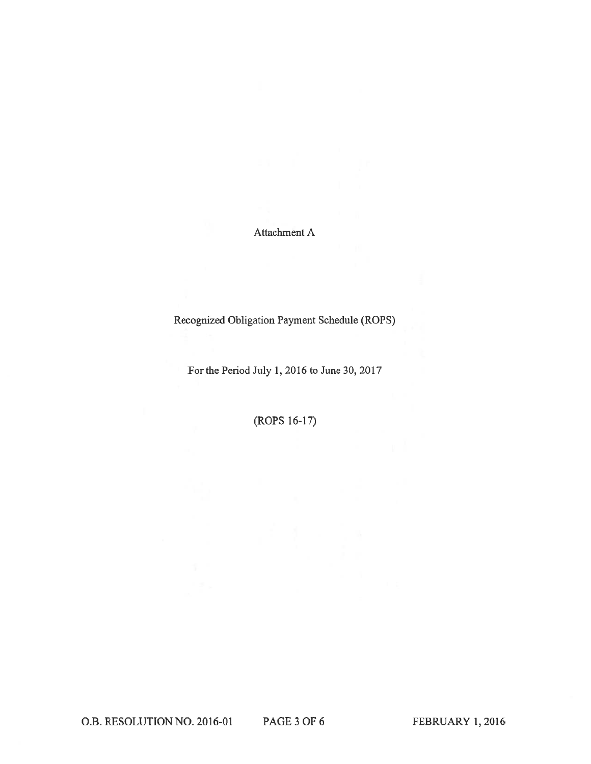Attachment A

Recognized Obligation Payment Schedule (ROPS)

For the Period July 1, 2016 to June 30, 2017

(ROPS 16-17)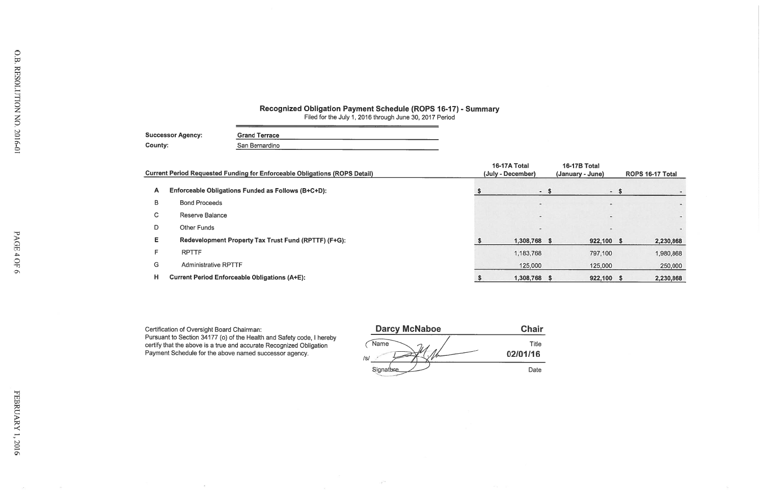## Recognized Obligation Payment Schedule (ROPS 16-17) - Summary<br>Filed for the July 1, 2016 through June 30, 2017 Period

 $\omega_{\rm{eff}}=0.5$ 

| <b>Successor Agency:</b> | <b>Grand Terrace</b> |
|--------------------------|----------------------|
| County:                  | San Bernardino       |

|    | <b>Current Period Requested Funding for Enforceable Obligations (ROPS Detail)</b> | 16-17A Total<br>(July - December) | 16-17B Total<br>(January - June) | ROPS 16-17 Total |           |  |
|----|-----------------------------------------------------------------------------------|-----------------------------------|----------------------------------|------------------|-----------|--|
| A  | Enforceable Obligations Funded as Follows (B+C+D):                                | $-5$                              |                                  | $-5$             |           |  |
| В  | <b>Bond Proceeds</b>                                                              |                                   | $\overline{\phantom{a}}$         |                  |           |  |
| C. | Reserve Balance                                                                   | $\sim$                            | $\overline{\phantom{a}}$         |                  |           |  |
| D  | <b>Other Funds</b>                                                                |                                   | $\sim$                           |                  |           |  |
| E. | Redevelopment Property Tax Trust Fund (RPTTF) (F+G):                              | 1,308,768<br>- 5                  | 922,100 \$                       |                  | 2,230,868 |  |
| F  | <b>RPTTF</b>                                                                      | 1,183,768                         | 797,100                          |                  | 1,980,868 |  |
| G  | <b>Administrative RPTTF</b>                                                       | 125,000                           | 125,000                          |                  | 250,000   |  |
| н  | <b>Current Period Enforceable Obligations (A+E):</b>                              | 1,308,768                         | 922,100 \$                       |                  | 2,230,868 |  |

 $\infty$ 

Certification of Oversight Board Chairman:<br>Pursuant to Section 34177 (o) of the Health and Safety code, I hereby<br>certify that the above is a true and accurate Recognized Obligation<br>Payment Schedule for the above named succ

| <b>Darcy McNaboe</b> | <b>Chair</b>      |
|----------------------|-------------------|
| Name<br>/s/          | Title<br>02/01/16 |
| Signature            | Date              |

 $\sim$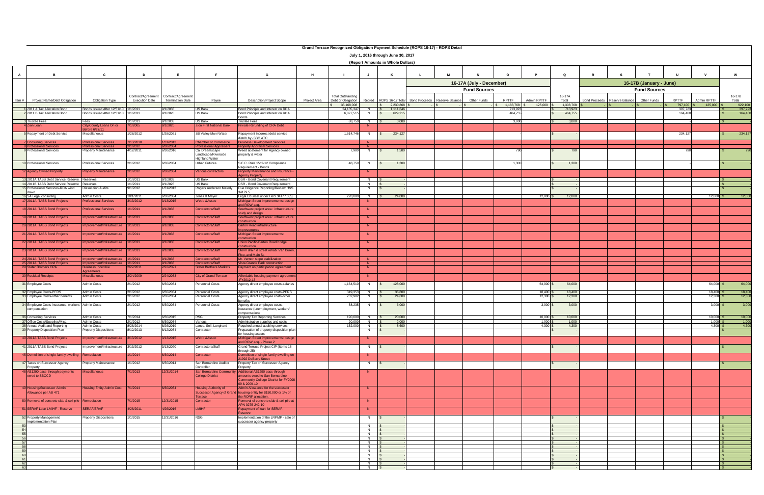| Grand Terrace Recognized Obligation Payment Schedule (ROPS 16-17) - ROPS Detail |                                                                                  |                                                          |                                                                |                         |                                                     |                                                                                        |              |                                                |                               |                                                        |  |   |                          |                     |                      |                      |                      |                 |                         |                   |                           |                    |  |
|---------------------------------------------------------------------------------|----------------------------------------------------------------------------------|----------------------------------------------------------|----------------------------------------------------------------|-------------------------|-----------------------------------------------------|----------------------------------------------------------------------------------------|--------------|------------------------------------------------|-------------------------------|--------------------------------------------------------|--|---|--------------------------|---------------------|----------------------|----------------------|----------------------|-----------------|-------------------------|-------------------|---------------------------|--------------------|--|
| July 1, 2016 through June 30, 2017                                              |                                                                                  |                                                          |                                                                |                         |                                                     |                                                                                        |              |                                                |                               |                                                        |  |   |                          |                     |                      |                      |                      |                 |                         |                   |                           |                    |  |
|                                                                                 |                                                                                  |                                                          |                                                                |                         |                                                     |                                                                                        |              |                                                |                               | (Report Amounts in Whole Dollars)                      |  |   |                          |                     |                      |                      |                      |                 |                         |                   |                           |                    |  |
|                                                                                 |                                                                                  |                                                          |                                                                |                         |                                                     |                                                                                        |              |                                                |                               |                                                        |  |   |                          |                     |                      |                      |                      |                 |                         |                   |                           |                    |  |
| $\mathbf{A}$                                                                    | <b>B</b>                                                                         | $\mathbf{c}$                                             | D                                                              | E                       | E                                                   | G                                                                                      | H            |                                                | J                             | K                                                      |  | M |                          | $\Omega$            |                      | $\mathbf Q$          |                      |                 |                         |                   |                           | W                  |  |
|                                                                                 |                                                                                  |                                                          |                                                                |                         |                                                     |                                                                                        |              |                                                |                               |                                                        |  |   | 16-17A (July - December) |                     |                      |                      |                      |                 | 16-17B (January - June) |                   |                           |                    |  |
|                                                                                 |                                                                                  |                                                          |                                                                |                         |                                                     |                                                                                        |              |                                                |                               |                                                        |  |   | <b>Fund Sources</b>      |                     |                      |                      |                      |                 | <b>Fund Sources</b>     |                   |                           |                    |  |
| Item #                                                                          | Project Name/Debt Obligation                                                     | Obligation Type                                          | Contract/Agreement Contract/Agreement<br><b>Execution Date</b> | <b>Termination Date</b> | Payee                                               | <b>Description/Project Scope</b>                                                       | Project Area | <b>Total Outstanding</b><br>Debt or Obligation |                               | Retired ROPS 16-17 Total Bond Proceeds Reserve Balance |  |   | Other Funds              | <b>RPTTF</b>        | Admin RPTTF          | 16-17A<br>Total      | <b>Bond Proceeds</b> | Reserve Balance | Other Funds             | <b>RPTTF</b>      | Admin RPTTF               | 16-17B<br>Total    |  |
|                                                                                 | 2011 A Tax Allocation Bond                                                       | Bonds Issued After 12/31/10 1/1/2011                     |                                                                | 9/1/2033                | US Bank                                             | Bond Principle and Interest on RDA                                                     |              | 35,168,008<br>24,135,347                       | $N$ $\overline{\text{s}}$     | $\frac{1}{2}$ \$ 2,230,868<br>1,111,646                |  |   |                          | 1,183,768<br>713,92 | 125,000              | 1,308,768<br>713,923 |                      |                 |                         | 797,100<br>397,72 | $125,000$ \$              | 922,100<br>397,723 |  |
|                                                                                 | 22011 B Tax Allocation Bond                                                      | Bonds Issued After 12/31/10 1/1/2011                     |                                                                | 9/1/2026                | US Bank                                             | Bond Principle and Interest on RDA<br>Bonds                                            |              | 6,877,515                                      | N <sub>N</sub>                | 629,215<br>IS.                                         |  |   |                          | 464,755             |                      | 464,755              |                      |                 |                         | 164,460           |                           | 164,460            |  |
|                                                                                 | Trustee Fees                                                                     | Fees                                                     | 1/1/2011                                                       | 9/1/2033                | US Bank                                             | <b>Trustee Fees</b>                                                                    |              | 88,750                                         | N                             | 3,000                                                  |  |   |                          | 3,000               |                      | 3,000                |                      |                 |                         |                   |                           |                    |  |
|                                                                                 | Zion Loan                                                                        | City/County Loans On or<br>fore 6/27/11                  | 7/1/2005                                                       | 9/1/2020                | <b>Zion First National Bank</b>                     | Private Refunding of CRA Debt                                                          |              |                                                |                               |                                                        |  |   |                          |                     |                      |                      |                      |                 |                         |                   |                           |                    |  |
|                                                                                 | Repayment of Debt Service                                                        | Miscellaneous                                            | 1/28/2012                                                      | 1/28/2021               | SB Valley Muni Water                                | Repayment Incorrect debt service<br>distrib by -SBC ATC                                |              | 1,614,746                                      | <b>N</b>                      | 234,127                                                |  |   |                          |                     |                      |                      |                      |                 |                         | 234,127           |                           | 234,127            |  |
|                                                                                 | Consulting Services<br>sional Services                                           | <b>Professional Services</b><br><b>essional Services</b> | 7/13/2010<br>/1/2012                                           | 1/31/2013<br>30/2034    | <b>Chamber of Commerce</b><br>ofessional Appraisers | <b>Susiness Development Services</b><br>operty Appraisal Services                      |              |                                                | N<br>N                        |                                                        |  |   |                          |                     |                      |                      |                      |                 |                         |                   |                           |                    |  |
|                                                                                 | <b>Professional Services</b>                                                     | roperty Maintenance                                      | 4/12/2011                                                      | 6/30/2016               | Cal Dreamscape                                      | Weed abatement for Agency owned                                                        |              | 7,900                                          | <b>N</b>                      | 1,580                                                  |  |   |                          |                     |                      | 790                  |                      |                 |                         |                   |                           |                    |  |
|                                                                                 |                                                                                  |                                                          |                                                                |                         | Landscape/Riverside<br><b>Highland Water</b>        | property & water                                                                       |              |                                                |                               |                                                        |  |   |                          |                     |                      |                      |                      |                 |                         |                   |                           |                    |  |
|                                                                                 | 10 Professional Services                                                         | Professional Services                                    | 2/1/2012                                                       | 6/30/2034               | Urban Futures                                       | S.E.C. Rule 15c2-12 Compliance<br>Requirement - Bonds                                  |              | 48,750                                         | N                             | $\mathbb{S}$<br>1,300                                  |  |   |                          | 1,300               |                      | 1,300                |                      |                 |                         |                   |                           |                    |  |
|                                                                                 | 2 Agency Owned Property                                                          | roperty Maintenance                                      | 2/1/2012                                                       | 6/30/2034               | Various contractors                                 | <b>Property Maintenance and Insurance -</b><br>gency Property                          |              |                                                | N.                            |                                                        |  |   |                          |                     |                      |                      |                      |                 |                         |                   |                           |                    |  |
|                                                                                 | 13 2011A TABS Debt Service Reserve                                               | Reserves                                                 | 1/1/2011                                                       | 9/1/2033                | US Bank                                             | DSR - Bond Covenant Requirement                                                        |              |                                                | $N$ $\sqrt{S}$                |                                                        |  |   |                          |                     |                      |                      |                      |                 |                         |                   |                           |                    |  |
|                                                                                 | 14 2011B TABS Debt Service Reserve Reserves<br>15 Professional Services-RDA wind | Dissolution Audits                                       | 1/1/2011<br>9/1/2012                                           | 9/1/2026<br>1/31/2013   | JS Bank<br>Rogers Anderson Malody                   | DSR - Bond Covenant Requirement<br>Due Diligence Reporting/Review H&S                  |              |                                                | $N$ $S$<br>N                  |                                                        |  |   |                          |                     |                      |                      |                      |                 |                         |                   |                           |                    |  |
|                                                                                 | down<br>16 SA Legal consulting                                                   | <b>Admin Costs</b>                                       | 10/1/2011                                                      | 6/30/2034               | Jones & Mayer                                       | 34179.5<br>Legal Counsel under H&S 34177.3(b)                                          |              |                                                | 228,000 N \$                  | 24,000                                                 |  |   |                          |                     | $12,000$ \$          | 12,000               |                      |                 |                         |                   | $12,000$ \$               | 12,000             |  |
|                                                                                 | 2011A TABS Bond Projects                                                         | ofessional Services                                      | 3/13/2012                                                      | 3/13/2015               | <b>Nebb &amp; Assoc</b>                             | ichigan Street improvements: design                                                    |              |                                                |                               |                                                        |  |   |                          |                     |                      |                      |                      |                 |                         |                   |                           |                    |  |
|                                                                                 | 18 2011A TABS Bond Projects                                                      | ofessional Services                                      | 1/1/2011                                                       | 9/1/2033                | <b>Contractors/Staff</b>                            | nd ROW acq.<br>Southwest project area: infrastructure                                  |              |                                                | N                             |                                                        |  |   |                          |                     |                      |                      |                      |                 |                         |                   |                           |                    |  |
|                                                                                 | 19 2011A TABS Bond Projects                                                      | nprovement/Infrastructure                                | 1/1/2011                                                       | 9/1/2033                | Contractors/Staff                                   | tudy and design<br>Southwest project area: infrastructure                              |              |                                                | N                             |                                                        |  |   |                          |                     |                      |                      |                      |                 |                         |                   |                           |                    |  |
|                                                                                 | 20 2011A TABS Bond Projects                                                      | nprovement/Infrastructure                                | 1/1/2011                                                       | 9/1/2033                | Contractors/Staff                                   | nstruction<br><b>Barton Road infrastructure</b>                                        |              |                                                | N                             |                                                        |  |   |                          |                     |                      |                      |                      |                 |                         |                   |                           |                    |  |
|                                                                                 |                                                                                  |                                                          |                                                                |                         |                                                     | provements                                                                             |              |                                                |                               |                                                        |  |   |                          |                     |                      |                      |                      |                 |                         |                   |                           |                    |  |
|                                                                                 | 21 2011A TABS Bond Projects                                                      | mprovement/Infrastructure                                | 1/1/2011                                                       | 9/1/2033                | Contractors/Staff                                   | Michigan Street improvements:                                                          |              |                                                | N.                            |                                                        |  |   |                          |                     |                      |                      |                      |                 |                         |                   |                           |                    |  |
|                                                                                 | 22 2011A TABS Bond Projects                                                      | nprovement/Infrastructure                                | 1/1/2011                                                       | 9/1/2033                | Contractors/Staff                                   | Jnion Pacific/Barton Road bridge<br>nstruction                                         |              |                                                | N.                            |                                                        |  |   |                          |                     |                      |                      |                      |                 |                         |                   |                           |                    |  |
|                                                                                 | 23 2011A TABS Bond Projects                                                      | provement/Infrastructure                                 | 1/1/2011                                                       | 9/1/2033                | <b>Contractors/Staff</b>                            | storm drain & street rehab: Van Buren<br>ico, and Main St                              |              |                                                | N                             |                                                        |  |   |                          |                     |                      |                      |                      |                 |                         |                   |                           |                    |  |
|                                                                                 | 24 2011A TABS Bond Projects                                                      | ovement/Infrastructure                                   | 1/1/2011                                                       | /1/2033                 | <b>Contractors/Staff</b>                            | Mt. Vernon slope stabilization                                                         |              |                                                | N                             |                                                        |  |   |                          |                     |                      |                      |                      |                 |                         |                   |                           |                    |  |
|                                                                                 | 25 2011A TABS Bond Projects<br>29 Stater Brothers OPA                            | provement/Infrastructure<br>usiness Incentive            | 1/1/2011<br>2/22/2011                                          | 9/1/2033<br>2/22/2021   | Contractors/Staf<br><b>Stater Brothers Markets</b>  | <b>/ista Grande Park construction</b><br>Payment on participation agreement            |              |                                                | N<br>N                        |                                                        |  |   |                          |                     |                      |                      |                      |                 |                         |                   |                           |                    |  |
|                                                                                 | <b>80 Residual Receipts</b>                                                      | <b>Treements</b><br><b>iscellaneous</b>                  | 2/24/2009                                                      | 2/24/2033               | <b>City of Grand Terrace</b>                        | ffordable housing payment agreemer                                                     |              |                                                |                               |                                                        |  |   |                          |                     |                      |                      |                      |                 |                         |                   |                           |                    |  |
|                                                                                 | 31 Employee Costs                                                                | Admin Costs                                              | 2/1/2012                                                       | 3/30/2034               | Personnel Costs                                     | Y2012-13<br>Agency direct employee costs-salaries                                      |              | 1,164,510                                      | N                             | 128,000                                                |  |   |                          |                     | 64,000               | 64,000               |                      |                 |                         |                   | 64,000 \$                 | 64,000             |  |
|                                                                                 | 32 Employee Costs-PERS                                                           | <b>Admin Costs</b>                                       | 2/1/2012                                                       | 6/30/2034               | <b>Personnel Costs</b>                              | Agency direct employee costs-PERS                                                      |              | 349,353                                        | N                             | 36,800                                                 |  |   |                          |                     | 18,400               | 18,400               |                      |                 |                         |                   | 18,400 \$                 | 18,400             |  |
|                                                                                 | 33 Employee Costs-other benefits                                                 | Admin Costs                                              | 2/1/2012                                                       | 3/30/2034               | Personnel Costs                                     | Agency direct employee costs-other                                                     |              | 232,902                                        |                               | 24,600                                                 |  |   |                          |                     | 12,300               | 12,300               |                      |                 |                         |                   | 12,300                    | 12,300             |  |
|                                                                                 | 34 Employee Costs-insurance, workers' Admin Costs                                |                                                          | 2/1/2012                                                       | 6/30/2034               | Personnel Costs                                     | enefits<br>Agency direct employee costs-                                               |              | 58,235                                         | N                             | 6,000                                                  |  |   |                          |                     | $3,000$ \$           | 3,000                |                      |                 |                         |                   | $3,000$ \$                | 3,000              |  |
|                                                                                 | compensation                                                                     |                                                          |                                                                |                         |                                                     | insurance (unemployment, workers'<br>ompensation)                                      |              |                                                |                               |                                                        |  |   |                          |                     |                      |                      |                      |                 |                         |                   |                           |                    |  |
|                                                                                 | 36 Consulting Services<br>37 Office Costs/Supplies/Misc.                         | Admin Costs<br>Admin Costs                               | 7/1/2014<br>2/1/2012                                           | 6/30/2015<br>6/30/2034  | <b>RSG</b><br>Various                               | Property Tax Reporting Services<br>Administrative supplies and costs                   |              | 190.000                                        | N<br>$20,000$ N $\frac{1}{3}$ | 20,000<br>2,000                                        |  |   |                          |                     | 10,000<br>$1,000$ \$ | 10,000<br>1,000      |                      |                 |                         |                   | $10,000$ \$<br>$1,000$ \$ | 10,000<br>1,000    |  |
|                                                                                 | 38 Annual Audit and Reporting                                                    | Admin Costs                                              | 8/26/2014                                                      | 8/26/2019               | Lance, Soll, Lunghard                               | Required annual auditing services                                                      |              | 152,000                                        | $N$ $\sqrt{S}$                | 8,600                                                  |  |   |                          |                     | $4,300$ \$           | 4,300                |                      |                 |                         |                   | 4,300S                    | 4,300              |  |
|                                                                                 | 39 Property Disposition Plan                                                     | Property Dispositions                                    | 8/12/2013                                                      | 8/12/2034               | Contractor                                          | Preparation of property disposition plan<br>for housing assets                         |              |                                                | N                             | $\sqrt{s}$                                             |  |   |                          |                     |                      |                      |                      |                 |                         |                   |                           |                    |  |
|                                                                                 | 40 2011A TABS Bond Projects                                                      | nprovement/Infrastructure                                | 3/13/2012                                                      | 3/13/2015               | Webb & Assoc                                        | Michigan Street improvements: design<br>and ROW acq. - Phase 2                         |              |                                                | N                             |                                                        |  |   |                          |                     |                      |                      |                      |                 |                         |                   |                           |                    |  |
|                                                                                 | 41 2011A TABS Bond Projects                                                      | mprovement/Infrastructure                                | 3/13/2012                                                      | 3/13/2020               | Contractors/Staff                                   | Grand Terrace Project CIP (Items 18                                                    |              |                                                | N                             | IS                                                     |  |   |                          |                     |                      |                      |                      |                 |                         |                   |                           |                    |  |
|                                                                                 | 45 Demolition of single-family dwelling Remediation                              |                                                          | 1/1/2014                                                       | 6/30/2014               | Contractor                                          | hrough 25)<br>Demolition of single family dwelling on                                  |              |                                                | N                             |                                                        |  |   |                          |                     |                      |                      |                      |                 |                         |                   |                           |                    |  |
|                                                                                 | 47 Taxes on Successor Agency                                                     | roperty Maintenance                                      | 1/1/2012                                                       | 6/30/2014               | San Bernardino Auditor                              | 21992 DeBerry Street<br>Property Tax on Successor Agency                               |              |                                                | N                             | $\sqrt{S}$                                             |  |   |                          |                     |                      |                      |                      |                 |                         |                   |                           |                    |  |
|                                                                                 | Property<br>48 AB1290 pass-through payments                                      | Aiscellaneous                                            | 7/1/2013                                                       | 12/31/2014              | Controller                                          | Property<br>San Bernardino Community Additional AB1290 pass-through                    |              |                                                | N.                            |                                                        |  |   |                          |                     |                      |                      |                      |                 |                         |                   |                           |                    |  |
|                                                                                 | owed to SBCCD                                                                    |                                                          |                                                                |                         | <b>College District</b>                             | amounts owed to San Bernardino<br>Community College District for FY2008-               |              |                                                |                               |                                                        |  |   |                          |                     |                      |                      |                      |                 |                         |                   |                           |                    |  |
|                                                                                 | 49 Housing/Successor Admin                                                       | lousing Entity Admin Cost                                | 7/1/2014                                                       | 3/30/2034               | Housing Authority of                                | 09 & 2009-10<br>Admin Allowance for the successor                                      |              |                                                |                               |                                                        |  |   |                          |                     |                      |                      |                      |                 |                         |                   |                           |                    |  |
|                                                                                 | Allowance per AB 471                                                             |                                                          |                                                                |                         | Terrace                                             | Successor Agency of Grand housing entity for \$150,000 or 1% of<br>he RORF allocation. |              |                                                |                               |                                                        |  |   |                          |                     |                      |                      |                      |                 |                         |                   |                           |                    |  |
|                                                                                 | 50 Removal of concrete slab & soil pile Remediation                              |                                                          | 7/1/2015                                                       | 12/31/2015              | Contractor                                          | Removal of concrete slab & soil pile at                                                |              |                                                | N                             |                                                        |  |   |                          |                     |                      |                      |                      |                 |                         |                   |                           |                    |  |
|                                                                                 | 51 SERAF Loan LMIHF - Reserve                                                    | <b>ERAF/ERAF</b>                                         | 4/26/2011                                                      | 4/26/2016               | <b>LMIHF</b>                                        | APN 0275-242-10<br><b>Repayment of loan for SERAF-</b>                                 |              |                                                | N.                            |                                                        |  |   |                          |                     |                      |                      |                      |                 |                         |                   |                           |                    |  |
|                                                                                 | 52 Property Management                                                           | roperty Dispositions                                     | 1/1/2015                                                       | 12/31/2016              | <b>RSG</b>                                          | eserve<br>Implementation of the LRPMP - sale of                                        |              |                                                | N                             | $\sqrt{s}$                                             |  |   |                          |                     |                      |                      |                      |                 |                         |                   |                           |                    |  |
|                                                                                 | Implementation Plan                                                              |                                                          |                                                                |                         |                                                     | successor agency property                                                              |              |                                                | $N$ $\sqrt{S}$                |                                                        |  |   |                          |                     |                      |                      |                      |                 |                         |                   |                           |                    |  |
| $\frac{54}{55}$                                                                 |                                                                                  |                                                          |                                                                |                         |                                                     |                                                                                        |              |                                                | $N$ $\sqrt{S}$                |                                                        |  |   |                          |                     |                      |                      |                      |                 |                         |                   |                           | l Si               |  |
| 56                                                                              |                                                                                  |                                                          |                                                                |                         |                                                     |                                                                                        |              |                                                | $N$ $S$<br>$N$ $\sqrt{S}$     |                                                        |  |   |                          |                     |                      |                      |                      |                 |                         |                   |                           | IS.<br><b>S</b>    |  |
| $-57$                                                                           |                                                                                  |                                                          |                                                                |                         |                                                     |                                                                                        |              |                                                | $N$ $\sqrt{S}$                |                                                        |  |   |                          |                     |                      |                      |                      |                 |                         |                   |                           |                    |  |
| 58<br>59                                                                        |                                                                                  |                                                          |                                                                |                         |                                                     |                                                                                        |              |                                                | $N$ $S$<br>$N$ $\sqrt{S}$     |                                                        |  |   |                          |                     |                      |                      |                      |                 |                         |                   |                           | $\mathbb{R}$       |  |
| 60                                                                              |                                                                                  |                                                          |                                                                |                         |                                                     |                                                                                        |              |                                                | $N$ $\sqrt{S}$                |                                                        |  |   |                          |                     |                      |                      |                      |                 |                         |                   |                           |                    |  |
| 61                                                                              |                                                                                  |                                                          |                                                                |                         |                                                     |                                                                                        |              |                                                | $N$ \$                        |                                                        |  |   |                          |                     |                      |                      |                      |                 |                         |                   |                           |                    |  |
| 62<br>63                                                                        |                                                                                  |                                                          |                                                                |                         |                                                     |                                                                                        |              |                                                | $N$ $\sqrt{S}$<br>$N$ \$      |                                                        |  |   |                          |                     |                      |                      |                      |                 |                         |                   |                           |                    |  |
|                                                                                 |                                                                                  |                                                          |                                                                |                         |                                                     |                                                                                        |              |                                                |                               |                                                        |  |   |                          |                     |                      |                      |                      |                 |                         |                   |                           |                    |  |